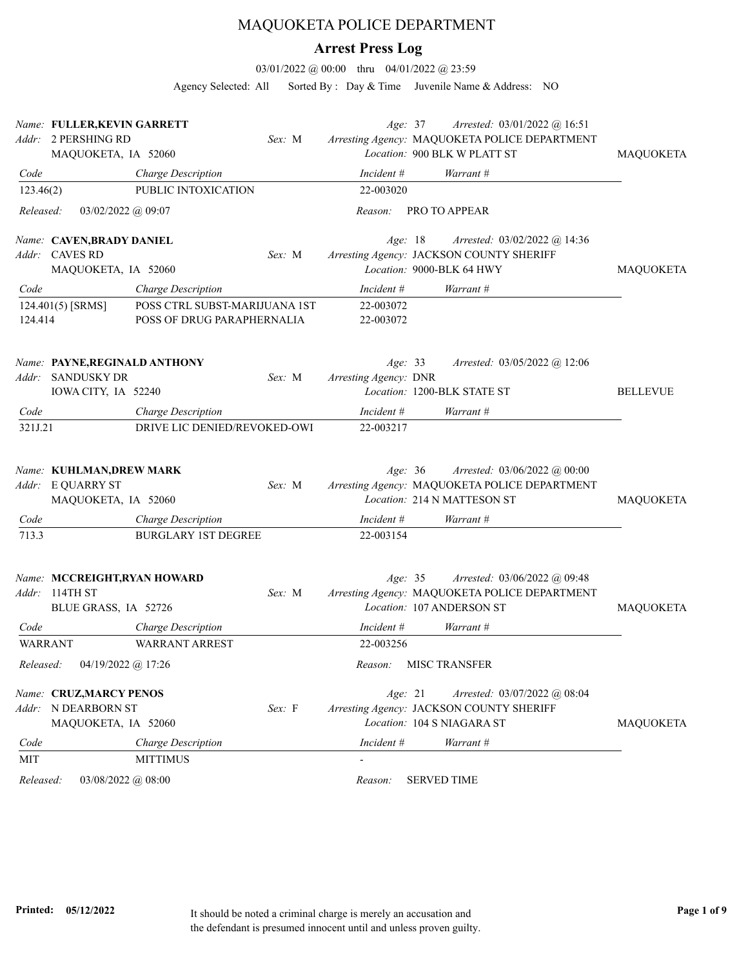## MAQUOKETA POLICE DEPARTMENT

## **Arrest Press Log**

03/01/2022 @ 00:00 thru 04/01/2022 @ 23:59

Agency Selected: All Sorted By : Day & Time Juvenile Name & Address: NO

|                | Name: FULLER, KEVIN GARRETT<br>Addr: 2 PERSHING RD<br>MAQUOKETA, IA 52060        | Sex: M | Age: 37                          | Arrested: 03/01/2022 @ 16:51<br>Arresting Agency: MAQUOKETA POLICE DEPARTMENT<br>Location: 900 BLK W PLATT ST | <b>MAQUOKETA</b> |
|----------------|----------------------------------------------------------------------------------|--------|----------------------------------|---------------------------------------------------------------------------------------------------------------|------------------|
| Code           | Charge Description                                                               |        | Incident #                       | Warrant #                                                                                                     |                  |
| 123.46(2)      | PUBLIC INTOXICATION                                                              |        | 22-003020                        |                                                                                                               |                  |
| Released:      | $03/02/2022$ @ 09:07                                                             |        | Reason:                          | <b>PRO TO APPEAR</b>                                                                                          |                  |
|                | Name: CAVEN, BRADY DANIEL<br>Addr: CAVES RD<br>MAQUOKETA, IA 52060               | Sex: M | Age: 18                          | Arrested: 03/02/2022 @ 14:36<br>Arresting Agency: JACKSON COUNTY SHERIFF<br>Location: 9000-BLK 64 HWY         | MAQUOKETA        |
| Code           | Charge Description                                                               |        | Incident #                       | Warrant #                                                                                                     |                  |
| 124.414        | POSS CTRL SUBST-MARIJUANA 1ST<br>124.401(5) [SRMS]<br>POSS OF DRUG PARAPHERNALIA |        | 22-003072<br>22-003072           |                                                                                                               |                  |
|                | Name: PAYNE, REGINALD ANTHONY<br>Addr: SANDUSKY DR<br>IOWA CITY, IA 52240        | Sex: M | Age: 33<br>Arresting Agency: DNR | Arrested: 03/05/2022 @ 12:06<br>Location: 1200-BLK STATE ST                                                   | <b>BELLEVUE</b>  |
| Code           | Charge Description                                                               |        | $Incident \#$                    | Warrant #                                                                                                     |                  |
| 321J.21        | DRIVE LIC DENIED/REVOKED-OWI                                                     |        | 22-003217                        |                                                                                                               |                  |
|                | Name: KUHLMAN, DREW MARK<br>Addr: E QUARRY ST<br>MAQUOKETA, IA 52060             | Sex: M | Age: 36                          | Arrested: 03/06/2022 @ 00:00<br>Arresting Agency: MAQUOKETA POLICE DEPARTMENT<br>Location: 214 N MATTESON ST  | <b>MAQUOKETA</b> |
| Code           | Charge Description                                                               |        | Incident $#$                     | Warrant #                                                                                                     |                  |
| 713.3          | <b>BURGLARY 1ST DEGREE</b>                                                       |        | 22-003154                        |                                                                                                               |                  |
|                | Name: MCCREIGHT, RYAN HOWARD<br>Addr: 114TH ST<br>BLUE GRASS, IA 52726           | Sex: M | Age: 35                          | Arrested: 03/06/2022 @ 09:48<br>Arresting Agency: MAQUOKETA POLICE DEPARTMENT<br>Location: 107 ANDERSON ST    | <b>MAQUOKETA</b> |
| Code           | Charge Description                                                               |        | Incident #                       | Warrant #                                                                                                     |                  |
| <b>WARRANT</b> | <b>WARRANT ARREST</b>                                                            |        | 22-003256                        |                                                                                                               |                  |
| Released:      | 04/19/2022 @ 17:26                                                               |        | Reason:                          | <b>MISC TRANSFER</b>                                                                                          |                  |
|                | Name: CRUZ, MARCY PENOS<br>Addr: N DEARBORN ST<br>MAQUOKETA, IA 52060            | Sex: F | Age: 21                          | Arrested: 03/07/2022 @ 08:04<br>Arresting Agency: JACKSON COUNTY SHERIFF<br>Location: 104 S NIAGARA ST        | MAQUOKETA        |
| Code           | Charge Description                                                               |        | Incident #                       | Warrant #                                                                                                     |                  |
| MIT            | <b>MITTIMUS</b>                                                                  |        |                                  |                                                                                                               |                  |
| Released:      | 03/08/2022 @ 08:00                                                               |        | Reason:                          | <b>SERVED TIME</b>                                                                                            |                  |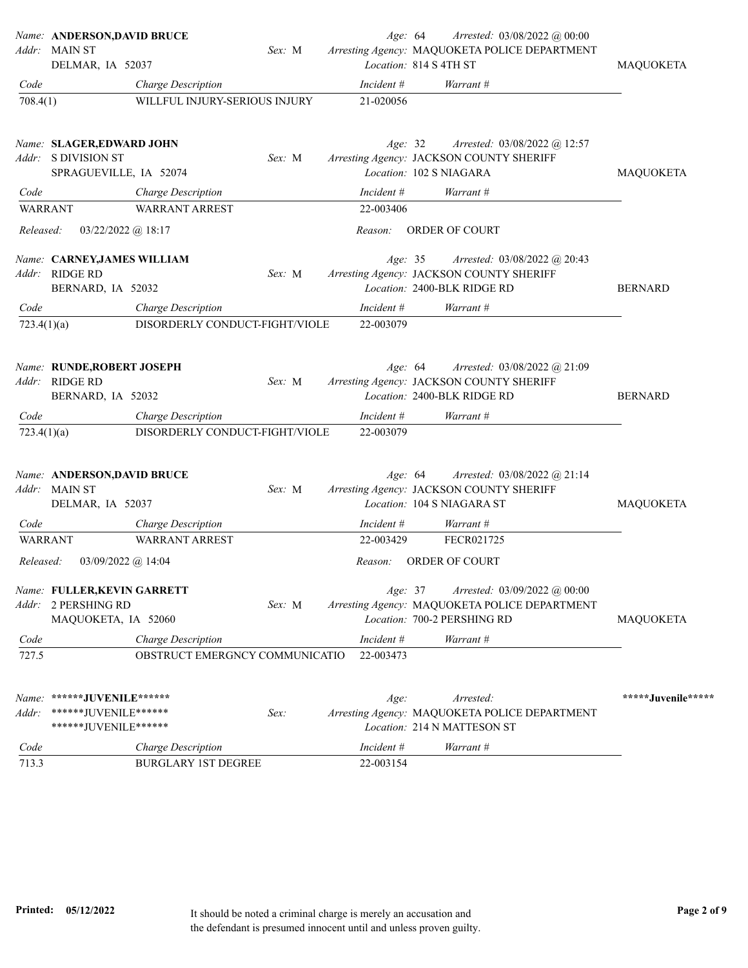|                | Name: ANDERSON, DAVID BRUCE                                                 |        | Age: 64    | Arrested: 03/08/2022 @ 00:00                                                                                 |                    |
|----------------|-----------------------------------------------------------------------------|--------|------------|--------------------------------------------------------------------------------------------------------------|--------------------|
|                | Addr: MAIN ST                                                               | Sex: M |            | Arresting Agency: MAQUOKETA POLICE DEPARTMENT                                                                |                    |
|                | DELMAR, IA 52037                                                            |        |            | Location: 814 S 4TH ST                                                                                       | MAQUOKETA          |
| Code           | Charge Description                                                          |        | Incident # | Warrant #                                                                                                    |                    |
| 708.4(1)       | WILLFUL INJURY-SERIOUS INJURY                                               |        | 21-020056  |                                                                                                              |                    |
|                | Name: SLAGER,EDWARD JOHN<br>Addr: S DIVISION ST<br>SPRAGUEVILLE, IA 52074   | Sex: M | Age: 32    | Arrested: 03/08/2022 @ 12:57<br>Arresting Agency: JACKSON COUNTY SHERIFF<br>Location: 102 S NIAGARA          | MAQUOKETA          |
| Code           | Charge Description                                                          |        | Incident # | Warrant #                                                                                                    |                    |
| <b>WARRANT</b> | <b>WARRANT ARREST</b>                                                       |        | 22-003406  |                                                                                                              |                    |
| Released:      | $03/22/2022$ @ 18:17                                                        |        | Reason:    | ORDER OF COURT                                                                                               |                    |
| Addr:          | Name: CARNEY, JAMES WILLIAM<br>RIDGE RD<br>BERNARD, IA 52032                | Sex: M | Age: 35    | Arrested: 03/08/2022 @ 20:43<br>Arresting Agency: JACKSON COUNTY SHERIFF<br>Location: 2400-BLK RIDGE RD      | <b>BERNARD</b>     |
| Code           | Charge Description                                                          |        | Incident # | Warrant #                                                                                                    |                    |
| 723.4(1)(a)    | DISORDERLY CONDUCT-FIGHT/VIOLE                                              |        | 22-003079  |                                                                                                              |                    |
| Addr:          | Name: RUNDE,ROBERT JOSEPH<br><b>RIDGE RD</b><br>BERNARD, IA 52032           | Sex: M | Age: 64    | Arrested: 03/08/2022 @ 21:09<br>Arresting Agency: JACKSON COUNTY SHERIFF<br>Location: 2400-BLK RIDGE RD      | <b>BERNARD</b>     |
| Code           | Charge Description                                                          |        | Incident # | Warrant #                                                                                                    |                    |
| 723.4(1)(a)    | DISORDERLY CONDUCT-FIGHT/VIOLE                                              |        | 22-003079  |                                                                                                              |                    |
|                | Name: ANDERSON, DAVID BRUCE<br>Addr: MAIN ST<br>DELMAR, IA 52037            | Sex: M | Age: 64    | Arrested: $03/08/2022$ @ 21:14<br>Arresting Agency: JACKSON COUNTY SHERIFF<br>Location: 104 S NIAGARA ST     | MAQUOKETA          |
| Code           | Charge Description                                                          |        | Incident # | Warrant #                                                                                                    |                    |
| WARRANT        | <b>WARRANT ARREST</b>                                                       |        | 22-003429  | FECR021725                                                                                                   |                    |
| Released:      | 03/09/2022 @ 14:04                                                          |        | Reason:    | <b>ORDER OF COURT</b>                                                                                        |                    |
|                | Name: FULLER, KEVIN GARRETT<br>Addr: 2 PERSHING RD<br>MAQUOKETA, IA 52060   | Sex: M | Age: 37    | Arrested: 03/09/2022 @ 00:00<br>Arresting Agency: MAQUOKETA POLICE DEPARTMENT<br>Location: 700-2 PERSHING RD | MAQUOKETA          |
| Code           | Charge Description                                                          |        | Incident # | Warrant #                                                                                                    |                    |
| 727.5          | OBSTRUCT EMERGNCY COMMUNICATIO                                              |        | 22-003473  |                                                                                                              |                    |
| Addr:          | Name: ******JUVENILE******<br>*******JUVENILE******<br>******JUVENILE****** | Sex:   | Age:       | Arrested:<br>Arresting Agency: MAQUOKETA POLICE DEPARTMENT<br>Location: 214 N MATTESON ST                    | *****Juvenile***** |
| Code           | Charge Description                                                          |        | Incident # | Warrant #                                                                                                    |                    |
| 713.3          | <b>BURGLARY 1ST DEGREE</b>                                                  |        | 22-003154  |                                                                                                              |                    |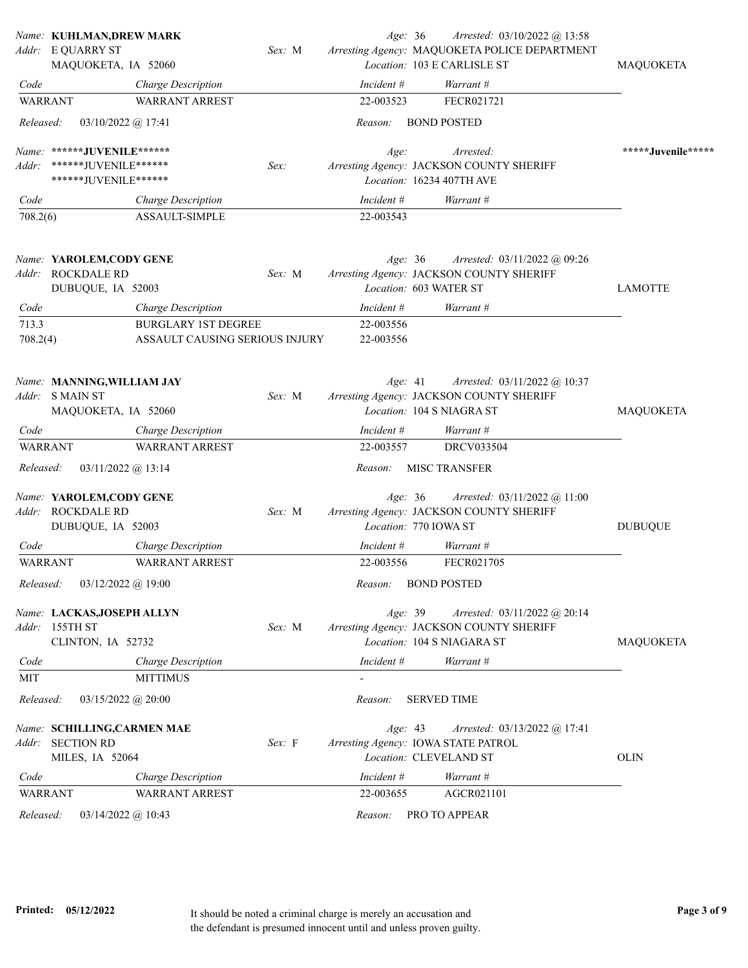|                | Name: KUHLMAN, DREW MARK                                            |                                |        | Age: 36    | Arrested: 03/10/2022 @ 13:58                                                                           |                    |
|----------------|---------------------------------------------------------------------|--------------------------------|--------|------------|--------------------------------------------------------------------------------------------------------|--------------------|
|                | Addr: E QUARRY ST<br>MAQUOKETA, IA 52060                            |                                | Sex: M |            | Arresting Agency: MAQUOKETA POLICE DEPARTMENT<br>Location: 103 E CARLISLE ST                           | MAQUOKETA          |
| Code           |                                                                     | Charge Description             |        | Incident # | Warrant #                                                                                              |                    |
| <b>WARRANT</b> |                                                                     | <b>WARRANT ARREST</b>          |        | 22-003523  | FECR021721                                                                                             |                    |
| Released:      | $03/10/2022$ @ 17:41                                                |                                |        | Reason:    | <b>BOND POSTED</b>                                                                                     |                    |
|                | Name: ******JUVENILE******                                          |                                |        | Age:       | Arrested:                                                                                              | *****Juvenile***** |
| Addr:          | ******JUVENILE******                                                |                                | Sex:   |            | Arresting Agency: JACKSON COUNTY SHERIFF                                                               |                    |
|                | ******JUVENILE******                                                |                                |        |            | Location: 16234 407TH AVE                                                                              |                    |
| Code           |                                                                     | <b>Charge Description</b>      |        | Incident # | Warrant #                                                                                              |                    |
| 708.2(6)       |                                                                     | ASSAULT-SIMPLE                 |        | 22-003543  |                                                                                                        |                    |
|                | Name: YAROLEM,CODY GENE                                             |                                |        | Age: 36    | Arrested: 03/11/2022 @ 09:26                                                                           |                    |
| Addr:          | <b>ROCKDALE RD</b>                                                  |                                | Sex: M |            | Arresting Agency: JACKSON COUNTY SHERIFF                                                               |                    |
|                | DUBUQUE, IA 52003                                                   |                                |        |            | Location: 603 WATER ST                                                                                 | <b>LAMOTTE</b>     |
| Code           |                                                                     | Charge Description             |        | Incident # | Warrant #                                                                                              |                    |
| 713.3          |                                                                     | <b>BURGLARY 1ST DEGREE</b>     |        | 22-003556  |                                                                                                        |                    |
| 708.2(4)       |                                                                     | ASSAULT CAUSING SERIOUS INJURY |        | 22-003556  |                                                                                                        |                    |
|                | Name: MANNING, WILLIAM JAY<br>Addr: SMAIN ST                        |                                | Sex: M | Age: 41    | Arrested: 03/11/2022 @ 10:37<br>Arresting Agency: JACKSON COUNTY SHERIFF                               |                    |
|                | MAQUOKETA, IA 52060                                                 |                                |        |            | Location: 104 S NIAGRA ST                                                                              | MAQUOKETA          |
| Code           |                                                                     | <b>Charge Description</b>      |        | Incident # | Warrant #                                                                                              |                    |
| <b>WARRANT</b> |                                                                     | <b>WARRANT ARREST</b>          |        | 22-003557  | <b>DRCV033504</b>                                                                                      |                    |
| Released:      | $03/11/2022$ @ 13:14                                                |                                |        | Reason:    | <b>MISC TRANSFER</b>                                                                                   |                    |
|                | Name: YAROLEM, CODY GENE<br>Addr: ROCKDALE RD<br>DUBUQUE, IA 52003  |                                | Sex: M | Age: 36    | Arrested: 03/11/2022 @ 11:00<br>Arresting Agency: JACKSON COUNTY SHERIFF<br>Location: 770 IOWA ST      | <b>DUBUQUE</b>     |
| Code           |                                                                     | Charge Description             |        | Incident # | Warrant #                                                                                              |                    |
| <b>WARRANT</b> |                                                                     | <b>WARRANT ARREST</b>          |        | 22-003556  | FECR021705                                                                                             |                    |
| Released:      | 03/12/2022 @ 19:00                                                  |                                |        | Reason:    | <b>BOND POSTED</b>                                                                                     |                    |
|                | Name: LACKAS, JOSEPH ALLYN<br>Addr: 155TH ST<br>CLINTON, IA 52732   |                                | Sex: M | Age: 39    | Arrested: 03/11/2022 @ 20:14<br>Arresting Agency: JACKSON COUNTY SHERIFF<br>Location: 104 S NIAGARA ST | MAQUOKETA          |
| Code           |                                                                     | <b>Charge Description</b>      |        | Incident # | Warrant #                                                                                              |                    |
| MIT            |                                                                     | <b>MITTIMUS</b>                |        |            |                                                                                                        |                    |
| Released:      | $03/15/2022$ @ 20:00                                                |                                |        | Reason:    | <b>SERVED TIME</b>                                                                                     |                    |
| Addr:          | Name: SCHILLING, CARMEN MAE<br><b>SECTION RD</b><br>MILES, IA 52064 |                                | Sex: F | Age: 43    | <i>Arrested:</i> 03/13/2022 @ 17:41<br>Arresting Agency: IOWA STATE PATROL<br>Location: CLEVELAND ST   | <b>OLIN</b>        |
| Code           |                                                                     | <b>Charge Description</b>      |        | Incident # | Warrant #                                                                                              |                    |
| WARRANT        |                                                                     | <b>WARRANT ARREST</b>          |        | 22-003655  | AGCR021101                                                                                             |                    |
| Released:      | $03/14/2022$ @ 10:43                                                |                                |        | Reason:    | PRO TO APPEAR                                                                                          |                    |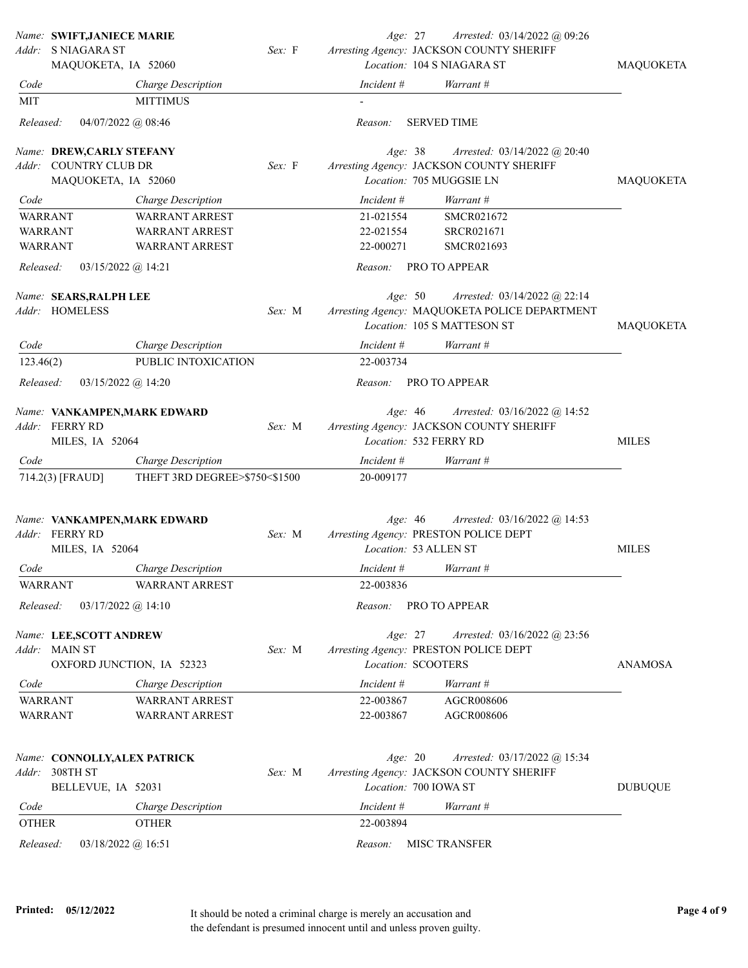|                        | Name: SWIFT, JANIECE MARIE<br>Addr: SNIAGARA ST<br>MAQUOKETA, IA 52060 |                                             | Sex: F | Age: 27                          | Arrested: 03/14/2022 @ 09:26<br>Arresting Agency: JACKSON COUNTY SHERIFF<br>Location: 104 S NIAGARA ST | <b>MAQUOKETA</b> |
|------------------------|------------------------------------------------------------------------|---------------------------------------------|--------|----------------------------------|--------------------------------------------------------------------------------------------------------|------------------|
| Code                   |                                                                        | Charge Description                          |        | Incident #                       | Warrant #                                                                                              |                  |
| MIT                    |                                                                        | <b>MITTIMUS</b>                             |        |                                  |                                                                                                        |                  |
| Released:              | $04/07/2022$ @ 08:46                                                   |                                             |        | Reason:                          | <b>SERVED TIME</b>                                                                                     |                  |
|                        | Name: DREW,CARLY STEFANY<br>Addr: COUNTRY CLUB DR                      |                                             | Sex: F | Age: 38                          | Arrested: 03/14/2022 @ 20:40<br>Arresting Agency: JACKSON COUNTY SHERIFF<br>Location: 705 MUGGSIE LN   |                  |
|                        | MAQUOKETA, IA 52060                                                    |                                             |        |                                  |                                                                                                        | MAQUOKETA        |
| Code<br><b>WARRANT</b> |                                                                        | Charge Description<br><b>WARRANT ARREST</b> |        | Incident #<br>21-021554          | Warrant #<br>SMCR021672                                                                                |                  |
| <b>WARRANT</b>         |                                                                        | WARRANT ARREST                              |        | 22-021554                        | SRCR021671                                                                                             |                  |
| <b>WARRANT</b>         |                                                                        | <b>WARRANT ARREST</b>                       |        | 22-000271                        | SMCR021693                                                                                             |                  |
| Released:              | $03/15/2022$ @ 14:21                                                   |                                             |        | Reason:                          | PRO TO APPEAR                                                                                          |                  |
|                        | Name: SEARS, RALPH LEE<br>Addr: HOMELESS                               |                                             | Sex: M | Age: 50                          | Arrested: 03/14/2022 @ 22:14<br>Arresting Agency: MAQUOKETA POLICE DEPARTMENT                          |                  |
|                        |                                                                        |                                             |        |                                  | Location: 105 S MATTESON ST                                                                            | MAQUOKETA        |
| Code                   |                                                                        | Charge Description                          |        | Incident #                       | Warrant #                                                                                              |                  |
| 123.46(2)              |                                                                        | PUBLIC INTOXICATION                         |        | 22-003734                        |                                                                                                        |                  |
| Released:              | $03/15/2022$ @ 14:20                                                   |                                             |        | Reason:                          | PRO TO APPEAR                                                                                          |                  |
|                        | Name: VANKAMPEN, MARK EDWARD<br>Addr: FERRY RD<br>MILES, IA 52064      |                                             | Sex: M | Age: $46$                        | Arrested: 03/16/2022 @ 14:52<br>Arresting Agency: JACKSON COUNTY SHERIFF<br>Location: 532 FERRY RD     | <b>MILES</b>     |
| Code                   |                                                                        | Charge Description                          |        | Incident #                       | Warrant #                                                                                              |                  |
|                        | 714.2(3) [FRAUD]                                                       | THEFT 3RD DEGREE>\$750<\$1500               |        | 20-009177                        |                                                                                                        |                  |
|                        | Name: VANKAMPEN, MARK EDWARD<br>Addr: FERRY RD<br>MILES, IA 52064      |                                             | Sex: M | Age: 46<br>Location: 53 ALLEN ST | Arrested: 03/16/2022 @ 14:53<br>Arresting Agency: PRESTON POLICE DEPT                                  | <b>MILES</b>     |
| Code                   |                                                                        | Charge Description                          |        | Incident #                       | Warrant #                                                                                              |                  |
| <b>WARRANT</b>         |                                                                        | WARRANT ARREST                              |        | 22-003836                        |                                                                                                        |                  |
| Released:              | $03/17/2022$ @ 14:10                                                   |                                             |        | Reason:                          | PRO TO APPEAR                                                                                          |                  |
|                        | Name: LEE,SCOTT ANDREW<br>Addr: MAIN ST<br>OXFORD JUNCTION, IA 52323   |                                             | Sex: M | Age: 27<br>Location: SCOOTERS    | Arrested: 03/16/2022 @ 23:56<br>Arresting Agency: PRESTON POLICE DEPT                                  | ANAMOSA          |
| Code                   |                                                                        | Charge Description                          |        | Incident #                       | Warrant #                                                                                              |                  |
| <b>WARRANT</b>         |                                                                        | <b>WARRANT ARREST</b>                       |        | 22-003867                        | AGCR008606                                                                                             |                  |
| <b>WARRANT</b>         |                                                                        | <b>WARRANT ARREST</b>                       |        | 22-003867                        | AGCR008606                                                                                             |                  |
| Addr:                  | Name: CONNOLLY, ALEX PATRICK<br>308TH ST<br>BELLEVUE, IA 52031         |                                             | Sex: M | Age: 20<br>Location: 700 IOWA ST | Arrested: 03/17/2022 @ 15:34<br>Arresting Agency: JACKSON COUNTY SHERIFF                               | <b>DUBUQUE</b>   |
| Code                   |                                                                        | Charge Description                          |        | Incident #                       | Warrant #                                                                                              |                  |
| <b>OTHER</b>           |                                                                        | <b>OTHER</b>                                |        | 22-003894                        |                                                                                                        |                  |
| Released:              | 03/18/2022 @ 16:51                                                     |                                             |        | Reason:                          | <b>MISC TRANSFER</b>                                                                                   |                  |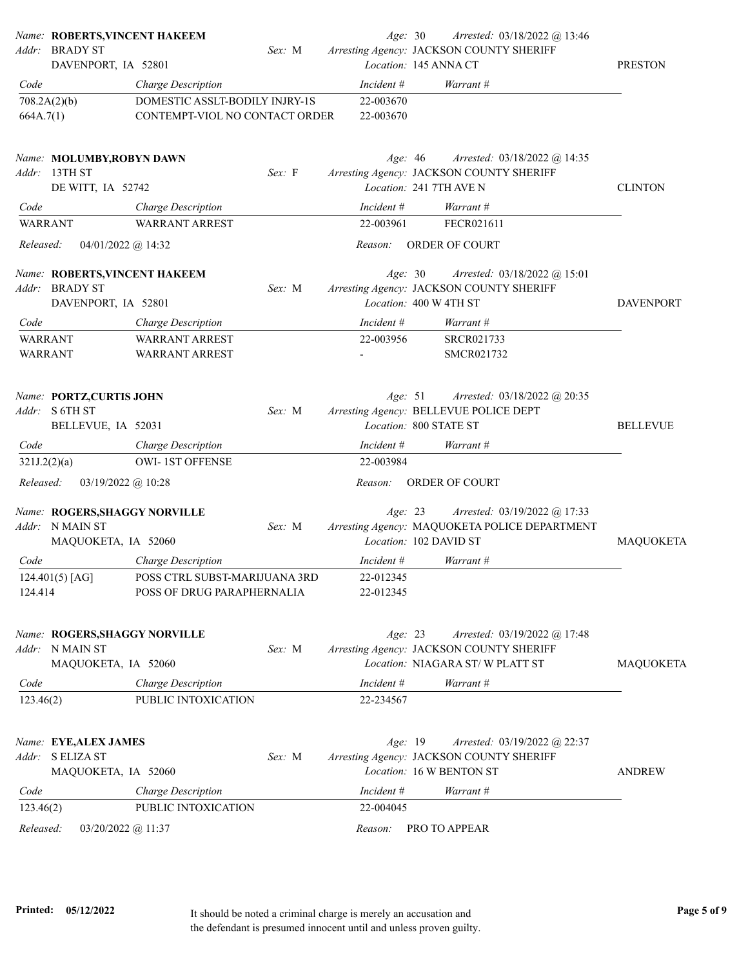|                                  | Name: ROBERTS, VINCENT HAKEEM<br>Addr: BRADY ST<br>DAVENPORT, IA 52801  |                                                                  | Sex: M | Age: 30                | Arrested: 03/18/2022 @ 13:46<br>Arresting Agency: JACKSON COUNTY SHERIFF<br>Location: 145 ANNA CT           | <b>PRESTON</b>   |
|----------------------------------|-------------------------------------------------------------------------|------------------------------------------------------------------|--------|------------------------|-------------------------------------------------------------------------------------------------------------|------------------|
| Code                             |                                                                         | Charge Description                                               |        | Incident #             | Warrant #                                                                                                   |                  |
| 664A.7(1)                        | 708.2A(2)(b)                                                            | DOMESTIC ASSLT-BODILY INJRY-1S<br>CONTEMPT-VIOL NO CONTACT ORDER |        | 22-003670<br>22-003670 |                                                                                                             |                  |
|                                  | Name: MOLUMBY, ROBYN DAWN<br>Addr: 13TH ST<br>DE WITT, IA 52742         |                                                                  | Sex: F | Age: $46$              | Arrested: 03/18/2022 @ 14:35<br>Arresting Agency: JACKSON COUNTY SHERIFF<br>Location: 241 7TH AVE N         | <b>CLINTON</b>   |
| Code                             |                                                                         | Charge Description                                               |        | Incident #             | Warrant #                                                                                                   |                  |
| <b>WARRANT</b>                   |                                                                         | <b>WARRANT ARREST</b>                                            |        | 22-003961              | FECR021611                                                                                                  |                  |
| Released:                        | 04/01/2022 @ 14:32                                                      |                                                                  |        | Reason:                | ORDER OF COURT                                                                                              |                  |
| Addr:                            | Name: ROBERTS, VINCENT HAKEEM<br><b>BRADY ST</b><br>DAVENPORT, IA 52801 |                                                                  | Sex: M | Age: 30                | <i>Arrested:</i> 03/18/2022 @ 15:01<br>Arresting Agency: JACKSON COUNTY SHERIFF<br>Location: 400 W 4TH ST   | <b>DAVENPORT</b> |
| Code                             |                                                                         | Charge Description                                               |        | Incident #             | Warrant #                                                                                                   |                  |
| <b>WARRANT</b><br><b>WARRANT</b> |                                                                         | <b>WARRANT ARREST</b><br><b>WARRANT ARREST</b>                   |        | 22-003956              | SRCR021733<br>SMCR021732                                                                                    |                  |
|                                  | Name: PORTZ, CURTIS JOHN<br>Addr: S 6TH ST<br>BELLEVUE, IA 52031        |                                                                  | Sex: M | Age: 51                | Arrested: 03/18/2022 @ 20:35<br>Arresting Agency: BELLEVUE POLICE DEPT<br>Location: 800 STATE ST            | <b>BELLEVUE</b>  |
| Code                             |                                                                         | Charge Description                                               |        | Incident #             | Warrant #                                                                                                   |                  |
| 321J.2(2)(a)                     |                                                                         | <b>OWI-1ST OFFENSE</b>                                           |        | 22-003984              |                                                                                                             |                  |
| Released:                        | $03/19/2022$ @ 10:28                                                    |                                                                  |        | Reason:                | ORDER OF COURT                                                                                              |                  |
|                                  | Name: ROGERS, SHAGGY NORVILLE<br>Addr: N MAIN ST<br>MAQUOKETA, IA 52060 |                                                                  | Sex: M | Age: 23                | Arrested: 03/19/2022 @ 17:33<br>Arresting Agency: MAQUOKETA POLICE DEPARTMENT<br>Location: 102 DAVID ST     | <b>MAQUOKETA</b> |
| Code                             |                                                                         | Charge Description                                               |        | Incident #             | Warrant #                                                                                                   |                  |
| 124.414                          | $124.401(5)$ [AG]                                                       | POSS CTRL SUBST-MARIJUANA 3RD<br>POSS OF DRUG PARAPHERNALIA      |        | 22-012345<br>22-012345 |                                                                                                             |                  |
| Addr:                            | Name: ROGERS, SHAGGY NORVILLE<br>N MAIN ST<br>MAQUOKETA, IA 52060       |                                                                  | Sex: M | Age: 23                | Arrested: 03/19/2022 @ 17:48<br>Arresting Agency: JACKSON COUNTY SHERIFF<br>Location: NIAGARA ST/W PLATT ST | MAQUOKETA        |
| Code                             |                                                                         | Charge Description                                               |        | Incident #             | Warrant #                                                                                                   |                  |
| 123.46(2)                        |                                                                         | PUBLIC INTOXICATION                                              |        | 22-234567              |                                                                                                             |                  |
|                                  | Name: EYE, ALEX JAMES<br>Addr: S ELIZA ST<br>MAQUOKETA, IA 52060        |                                                                  | Sex: M | Age: 19                | Arrested: 03/19/2022 @ 22:37<br>Arresting Agency: JACKSON COUNTY SHERIFF<br>Location: 16 W BENTON ST        | <b>ANDREW</b>    |
| Code                             |                                                                         | Charge Description                                               |        | Incident #             | Warrant #                                                                                                   |                  |
| 123.46(2)                        |                                                                         | PUBLIC INTOXICATION                                              |        | 22-004045              |                                                                                                             |                  |
| Released:                        | 03/20/2022 @ 11:37                                                      |                                                                  |        | Reason:                | PRO TO APPEAR                                                                                               |                  |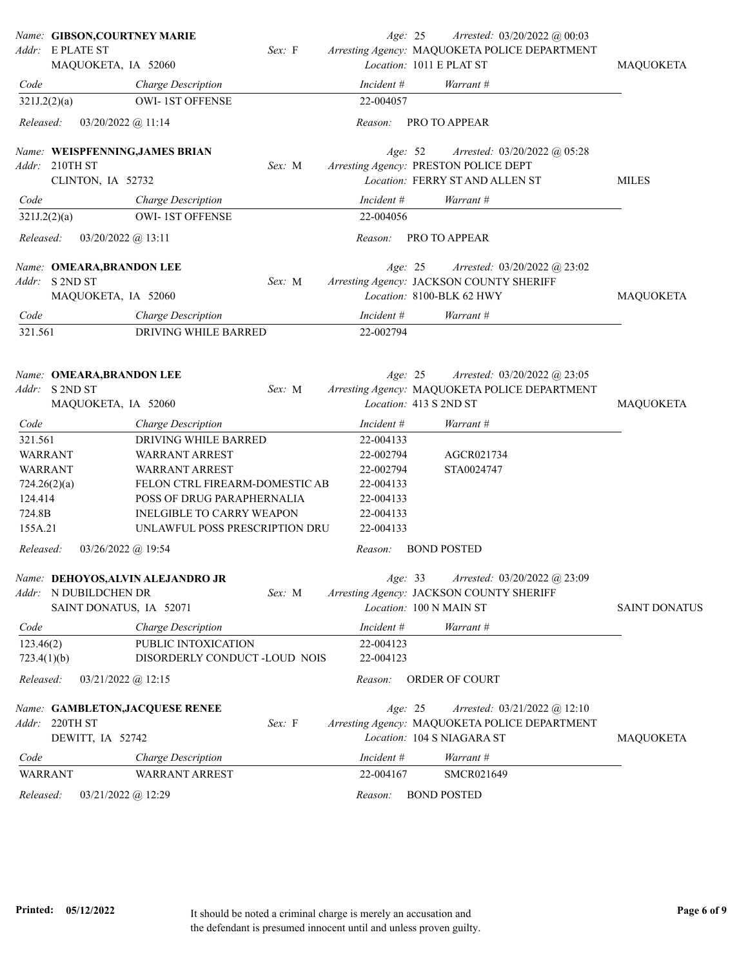|                           | Name: GIBSON, COURTNEY MARIE            |                                            |        | Age: 25                | Arrested: 03/20/2022 @ 00:03                                                                                |                      |
|---------------------------|-----------------------------------------|--------------------------------------------|--------|------------------------|-------------------------------------------------------------------------------------------------------------|----------------------|
|                           | Addr: E PLATE ST<br>MAQUOKETA, IA 52060 |                                            | Sex: F |                        | Arresting Agency: MAQUOKETA POLICE DEPARTMENT<br>Location: 1011 E PLAT ST                                   | MAQUOKETA            |
| Code                      |                                         | Charge Description                         |        | Incident #             | Warrant #                                                                                                   |                      |
| 321J.2(2)(a)              |                                         | <b>OWI-1ST OFFENSE</b>                     |        | 22-004057              |                                                                                                             |                      |
| Released:                 | $03/20/2022$ @ 11:14                    |                                            |        | Reason:                | PRO TO APPEAR                                                                                               |                      |
|                           |                                         | Name: WEISPFENNING, JAMES BRIAN            |        | Age: 52                | Arrested: 03/20/2022 @ 05:28                                                                                |                      |
| Addr:                     | 210TH ST<br>CLINTON, IA 52732           |                                            | Sex: M |                        | Arresting Agency: PRESTON POLICE DEPT<br>Location: FERRY ST AND ALLEN ST                                    | <b>MILES</b>         |
| Code                      |                                         | Charge Description                         |        | Incident $#$           | Warrant #                                                                                                   |                      |
| 321J.2(2)(a)              |                                         | <b>OWI-1ST OFFENSE</b>                     |        | 22-004056              |                                                                                                             |                      |
| Released:                 | $03/20/2022$ @ 13:11                    |                                            |        | Reason:                | PRO TO APPEAR                                                                                               |                      |
|                           | Name: OMEARA, BRANDON LEE               |                                            |        | Age: 25                | Arrested: $03/20/2022$ @ 23:02                                                                              |                      |
| Addr:                     | S 2ND ST<br>MAQUOKETA, IA 52060         |                                            | Sex: M |                        | Arresting Agency: JACKSON COUNTY SHERIFF<br>Location: 8100-BLK 62 HWY                                       | MAQUOKETA            |
|                           |                                         |                                            |        | Incident #             |                                                                                                             |                      |
| Code<br>321.561           |                                         | Charge Description<br>DRIVING WHILE BARRED |        | 22-002794              | Warrant #                                                                                                   |                      |
|                           |                                         |                                            |        |                        |                                                                                                             |                      |
|                           | Name: OMEARA, BRANDON LEE               |                                            |        | Age: 25                | Arrested: 03/20/2022 @ 23:05                                                                                |                      |
|                           | Addr: S 2ND ST                          |                                            | Sex: M |                        | Arresting Agency: MAQUOKETA POLICE DEPARTMENT                                                               |                      |
|                           | MAQUOKETA, IA 52060                     |                                            |        |                        | Location: 413 S 2ND ST                                                                                      | MAQUOKETA            |
| Code                      |                                         | Charge Description                         |        | Incident #             | Warrant #                                                                                                   |                      |
| 321.561<br><b>WARRANT</b> |                                         | DRIVING WHILE BARRED<br>WARRANT ARREST     |        | 22-004133<br>22-002794 | AGCR021734                                                                                                  |                      |
| WARRANT                   |                                         | WARRANT ARREST                             |        | 22-002794              | STA0024747                                                                                                  |                      |
| 724.26(2)(a)              |                                         | FELON CTRL FIREARM-DOMESTIC AB             |        | 22-004133              |                                                                                                             |                      |
| 124.414                   |                                         | POSS OF DRUG PARAPHERNALIA                 |        | 22-004133              |                                                                                                             |                      |
| 724.8B                    |                                         | INELGIBLE TO CARRY WEAPON                  |        | 22-004133              |                                                                                                             |                      |
| 155A.21                   |                                         | UNLAWFUL POSS PRESCRIPTION DRU             |        | 22-004133              |                                                                                                             |                      |
| Released:                 | $03/26/2022$ @ 19:54                    |                                            |        | Reason:                | <b>BOND POSTED</b>                                                                                          |                      |
|                           | Addr: N DUBILDCHEN DR                   | Name: DEHOYOS, ALVIN ALEJANDRO JR          | Sex: M |                        | Age: 33 Arrested: 03/20/2022 @ 23:09<br>Arresting Agency: JACKSON COUNTY SHERIFF                            |                      |
|                           | SAINT DONATUS, IA 52071                 |                                            |        |                        | Location: 100 N MAIN ST                                                                                     | <b>SAINT DONATUS</b> |
| Code                      |                                         | Charge Description                         |        | Incident #             | Warrant #                                                                                                   |                      |
| 123.46(2)                 |                                         | PUBLIC INTOXICATION                        |        | 22-004123              |                                                                                                             |                      |
| 723.4(1)(b)               |                                         | DISORDERLY CONDUCT -LOUD NOIS              |        | 22-004123              |                                                                                                             |                      |
| Released:                 | $03/21/2022$ (a) 12:15                  |                                            |        | Reason:                | ORDER OF COURT                                                                                              |                      |
| Addr:                     | 220TH ST<br>DEWITT, IA 52742            | Name: GAMBLETON, JACQUESE RENEE            | Sex: F | Age: 25                | Arrested: 03/21/2022 @ 12:10<br>Arresting Agency: MAQUOKETA POLICE DEPARTMENT<br>Location: 104 S NIAGARA ST | MAQUOKETA            |
| Code                      |                                         | Charge Description                         |        | Incident #             | Warrant #                                                                                                   |                      |
| <b>WARRANT</b>            |                                         | <b>WARRANT ARREST</b>                      |        | 22-004167              | SMCR021649                                                                                                  |                      |
| Released:                 |                                         |                                            |        | Reason:                | <b>BOND POSTED</b>                                                                                          |                      |
|                           | $03/21/2022$ @ 12:29                    |                                            |        |                        |                                                                                                             |                      |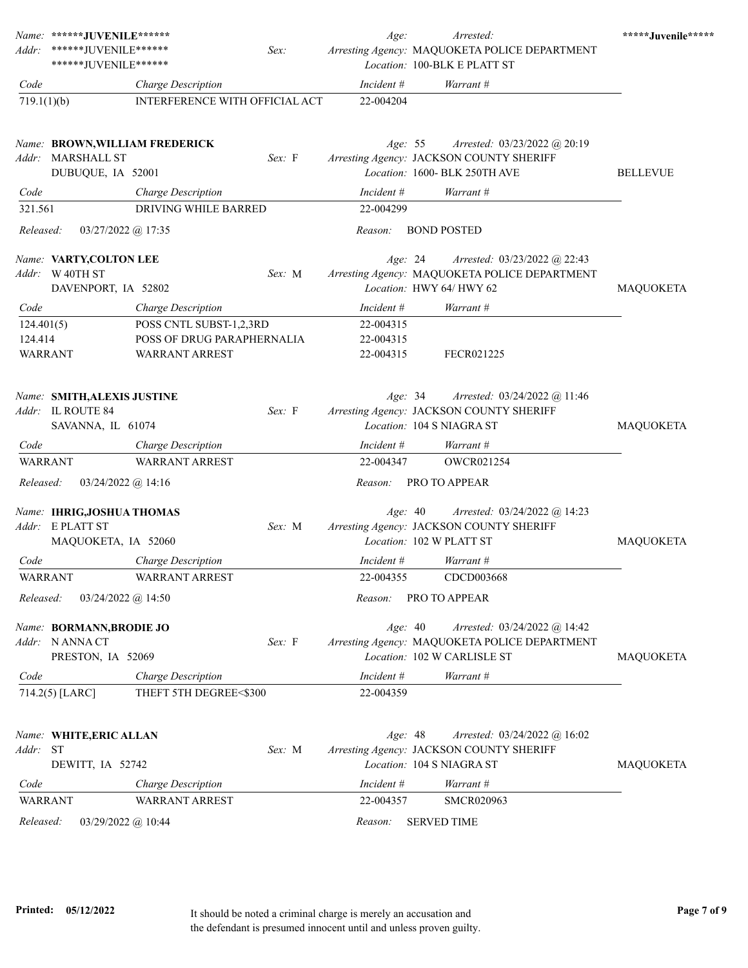|                                         | Name: ******JUVENILE******                                               |                                                                                |        | Age:                                | Arrested:                                                                                                      | *****Juvenile***** |
|-----------------------------------------|--------------------------------------------------------------------------|--------------------------------------------------------------------------------|--------|-------------------------------------|----------------------------------------------------------------------------------------------------------------|--------------------|
| Addr:                                   | ******JUVENILE******<br>******JUVENILE******                             |                                                                                | Sex:   |                                     | Arresting Agency: MAQUOKETA POLICE DEPARTMENT<br>Location: 100-BLK E PLATT ST                                  |                    |
| Code                                    |                                                                          | Charge Description                                                             |        | Incident #                          | Warrant #                                                                                                      |                    |
| 719.1(1)(b)                             |                                                                          | INTERFERENCE WITH OFFICIAL ACT                                                 |        | 22-004204                           |                                                                                                                |                    |
|                                         | Name: BROWN, WILLIAM FREDERICK<br>Addr: MARSHALL ST<br>DUBUQUE, IA 52001 |                                                                                | Sex: F | Age: $55$                           | Arrested: 03/23/2022 @ 20:19<br>Arresting Agency: JACKSON COUNTY SHERIFF<br>Location: 1600- BLK 250TH AVE      | <b>BELLEVUE</b>    |
| Code                                    |                                                                          | Charge Description                                                             |        | Incident #                          | Warrant #                                                                                                      |                    |
| 321.561                                 |                                                                          | DRIVING WHILE BARRED                                                           |        | 22-004299                           |                                                                                                                |                    |
| Released:                               | $03/27/2022$ @ 17:35                                                     |                                                                                |        | Reason:                             | <b>BOND POSTED</b>                                                                                             |                    |
|                                         | Name: VARTY,COLTON LEE<br>Addr: W 40TH ST<br>DAVENPORT, IA 52802         |                                                                                | Sex: M | Age: 24                             | Arrested: 03/23/2022 @ 22:43<br>Arresting Agency: MAQUOKETA POLICE DEPARTMENT<br>Location: HWY 64/ HWY 62      | MAQUOKETA          |
| Code                                    |                                                                          | Charge Description                                                             |        | Incident #                          | Warrant #                                                                                                      |                    |
| 124.401(5)<br>124.414<br><b>WARRANT</b> |                                                                          | POSS CNTL SUBST-1,2,3RD<br>POSS OF DRUG PARAPHERNALIA<br><b>WARRANT ARREST</b> |        | 22-004315<br>22-004315<br>22-004315 | FECR021225                                                                                                     |                    |
|                                         | Name: SMITH, ALEXIS JUSTINE<br>Addr: IL ROUTE 84<br>SAVANNA, IL 61074    |                                                                                | Sex: F | Age: $34$                           | Arrested: 03/24/2022 @ 11:46<br>Arresting Agency: JACKSON COUNTY SHERIFF<br>Location: 104 S NIAGRA ST          | MAQUOKETA          |
| Code                                    |                                                                          | Charge Description                                                             |        | Incident #                          | Warrant #                                                                                                      |                    |
| <b>WARRANT</b>                          |                                                                          | <b>WARRANT ARREST</b>                                                          |        | 22-004347                           | <b>OWCR021254</b>                                                                                              |                    |
| Released:                               | $03/24/2022$ @ 14:16                                                     |                                                                                |        | Reason:                             | PRO TO APPEAR                                                                                                  |                    |
|                                         | Name: IHRIG,JOSHUA THOMAS<br>Addr: E PLATT ST<br>MAQUOKETA, IA 52060     |                                                                                | Sex: M | Age: 40                             | Arrested: 03/24/2022 @ 14:23<br>Arresting Agency: JACKSON COUNTY SHERIFF<br>Location: 102 W PLATT ST           | MAQUOKETA          |
| Code                                    |                                                                          | Charge Description                                                             |        | Incident #                          | Warrant #                                                                                                      |                    |
| WARRANT                                 |                                                                          | <b>WARRANT ARREST</b>                                                          |        | 22-004355                           | CDCD003668                                                                                                     |                    |
| Released:                               | $03/24/2022$ @ 14:50                                                     |                                                                                |        | Reason:                             | PRO TO APPEAR                                                                                                  |                    |
|                                         | Name: BORMANN, BRODIE JO<br>Addr: NANNACT<br>PRESTON, IA 52069           |                                                                                | Sex: F | Age: 40                             | Arrested: $03/24/2022$ @ 14:42<br>Arresting Agency: MAQUOKETA POLICE DEPARTMENT<br>Location: 102 W CARLISLE ST | MAQUOKETA          |
| Code                                    |                                                                          | Charge Description                                                             |        | Incident #                          | Warrant #                                                                                                      |                    |
|                                         | $714.2(5)$ [LARC]                                                        | THEFT 5TH DEGREE<\$300                                                         |        | 22-004359                           |                                                                                                                |                    |
| Addr:                                   | Name: WHITE, ERIC ALLAN<br><b>ST</b><br>DEWITT, IA 52742                 |                                                                                | Sex: M | Age: 48                             | Arrested: 03/24/2022 @ 16:02<br>Arresting Agency: JACKSON COUNTY SHERIFF<br>Location: 104 S NIAGRA ST          | MAQUOKETA          |
| Code                                    |                                                                          | Charge Description                                                             |        | Incident #                          | Warrant #                                                                                                      |                    |
| <b>WARRANT</b>                          |                                                                          | WARRANT ARREST                                                                 |        | 22-004357                           | <b>SMCR020963</b>                                                                                              |                    |
| Released:                               | 03/29/2022 @ 10:44                                                       |                                                                                |        | Reason:                             | <b>SERVED TIME</b>                                                                                             |                    |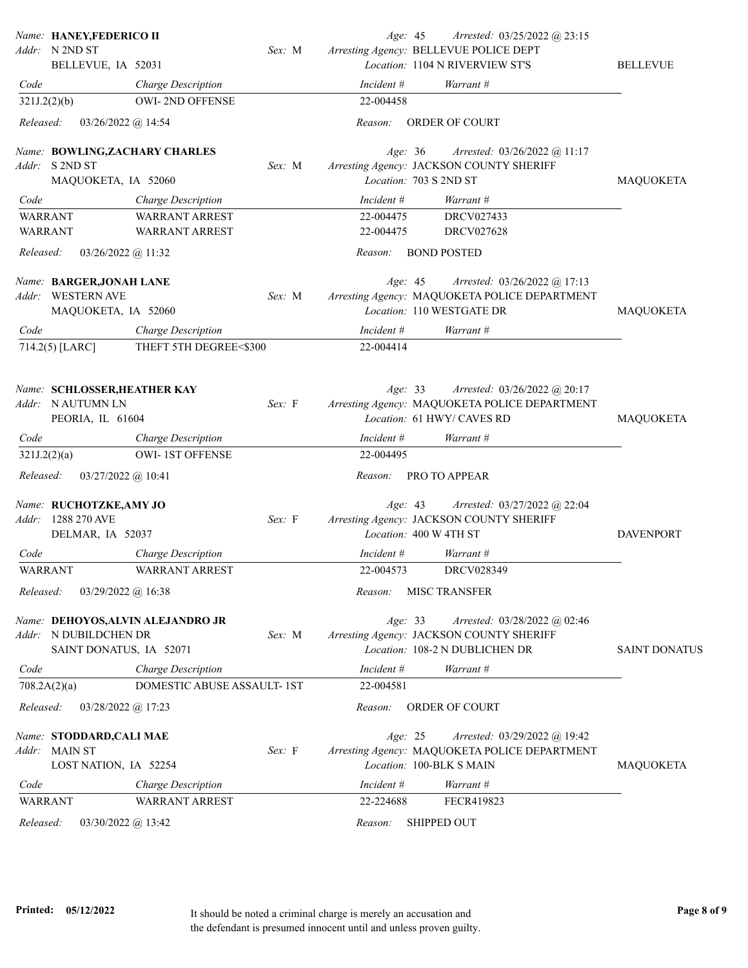| Name: HANEY,FEDERICO II<br>Addr: N 2ND ST                                     |                                                              | Sex: M | Age: 45<br>Arrested: 03/25/2022 @ 23:15<br>Arresting Agency: BELLEVUE POLICE DEPT                                        |                      |
|-------------------------------------------------------------------------------|--------------------------------------------------------------|--------|--------------------------------------------------------------------------------------------------------------------------|----------------------|
| BELLEVUE, IA 52031                                                            |                                                              |        | Location: 1104 N RIVERVIEW ST'S                                                                                          | <b>BELLEVUE</b>      |
| Code                                                                          | Charge Description                                           |        | Incident #<br>Warrant #                                                                                                  |                      |
| 321J.2(2)(b)                                                                  | OWI-2ND OFFENSE                                              |        | 22-004458                                                                                                                |                      |
| Released:                                                                     | 03/26/2022 @ 14:54                                           |        | ORDER OF COURT<br>Reason:                                                                                                |                      |
| Name: BOWLING,ZACHARY CHARLES<br>Addr: S 2ND ST                               |                                                              | Sex: M | Age: 36<br>Arrested: $03/26/2022$ @ 11:17<br>Arresting Agency: JACKSON COUNTY SHERIFF                                    |                      |
| MAQUOKETA, IA 52060                                                           |                                                              |        | Location: 703 S 2ND ST                                                                                                   | <b>MAQUOKETA</b>     |
| Code                                                                          | Charge Description                                           |        | Incident #<br>Warrant #                                                                                                  |                      |
| <b>WARRANT</b><br><b>WARRANT</b>                                              | <b>WARRANT ARREST</b><br><b>WARRANT ARREST</b>               |        | DRCV027433<br>22-004475<br>22-004475<br><b>DRCV027628</b>                                                                |                      |
| Released:                                                                     | 03/26/2022 @ 11:32                                           |        | <b>BOND POSTED</b><br>Reason:                                                                                            |                      |
| Name: BARGER,JONAH LANE<br><b>WESTERN AVE</b><br>Addr:<br>MAQUOKETA, IA 52060 |                                                              | Sex: M | Age: 45<br>Arrested: $03/26/2022$ @ 17:13<br>Arresting Agency: MAQUOKETA POLICE DEPARTMENT<br>Location: 110 WESTGATE DR  | MAQUOKETA            |
| Code                                                                          | Charge Description                                           |        | Incident #<br>Warrant #                                                                                                  |                      |
| 714.2(5) [LARC]                                                               | THEFT 5TH DEGREE<\$300                                       |        | 22-004414                                                                                                                |                      |
| Name: SCHLOSSER, HEATHER KAY<br>Addr: N AUTUMN LN<br>PEORIA, IL 61604         |                                                              | Sex: F | Age: 33<br>Arrested: $03/26/2022$ @ 20:17<br>Arresting Agency: MAQUOKETA POLICE DEPARTMENT<br>Location: 61 HWY/ CAVES RD | <b>MAQUOKETA</b>     |
| Code                                                                          | Charge Description                                           |        | Incident #<br>Warrant #                                                                                                  |                      |
| 321J.2(2)(a)                                                                  | <b>OWI-1ST OFFENSE</b>                                       |        | 22-004495                                                                                                                |                      |
| Released:                                                                     | 03/27/2022 @ 10:41                                           |        | PRO TO APPEAR<br>Reason:                                                                                                 |                      |
| Name: RUCHOTZKE, AMY JO<br>Addr: 1288 270 AVE<br>DELMAR, IA 52037             |                                                              | Sex: F | Age: 43<br>Arrested: 03/27/2022 @ 22:04<br>Arresting Agency: JACKSON COUNTY SHERIFF<br>Location: 400 W 4TH ST            | <b>DAVENPORT</b>     |
| Code                                                                          | Charge Description                                           |        | Incident #<br>Warrant #                                                                                                  |                      |
| <b>WARRANT</b>                                                                | <b>WARRANT ARREST</b>                                        |        | DRCV028349<br>22-004573                                                                                                  |                      |
| Released:                                                                     | 03/29/2022 @ 16:38                                           |        | Reason:<br><b>MISC TRANSFER</b>                                                                                          |                      |
| N DUBILDCHEN DR<br>Addr:                                                      | Name: DEHOYOS, ALVIN ALEJANDRO JR<br>SAINT DONATUS, IA 52071 | Sex: M | Age: 33<br>Arrested: 03/28/2022 @ 02:46<br>Arresting Agency: JACKSON COUNTY SHERIFF<br>Location: 108-2 N DUBLICHEN DR    | <b>SAINT DONATUS</b> |
| Code                                                                          | Charge Description                                           |        | Incident #<br>Warrant #                                                                                                  |                      |
| 708.2A(2)(a)                                                                  | DOMESTIC ABUSE ASSAULT-1ST                                   |        | 22-004581                                                                                                                |                      |
| Released:                                                                     | 03/28/2022 @ 17:23                                           |        | Reason:<br>ORDER OF COURT                                                                                                |                      |
| Name: STODDARD, CALI MAE<br><b>MAIN ST</b><br>Addr:<br>LOST NATION, IA 52254  |                                                              | Sex: F | Age: 25<br>Arrested: 03/29/2022 @ 19:42<br>Arresting Agency: MAQUOKETA POLICE DEPARTMENT<br>Location: 100-BLK S MAIN     | MAQUOKETA            |
| Code                                                                          | Charge Description                                           |        | Incident #<br>Warrant #                                                                                                  |                      |
| <b>WARRANT</b>                                                                | <b>WARRANT ARREST</b>                                        |        | FECR419823<br>22-224688                                                                                                  |                      |
| Released:                                                                     | 03/30/2022 @ 13:42                                           |        | SHIPPED OUT<br>Reason:                                                                                                   |                      |
|                                                                               |                                                              |        |                                                                                                                          |                      |